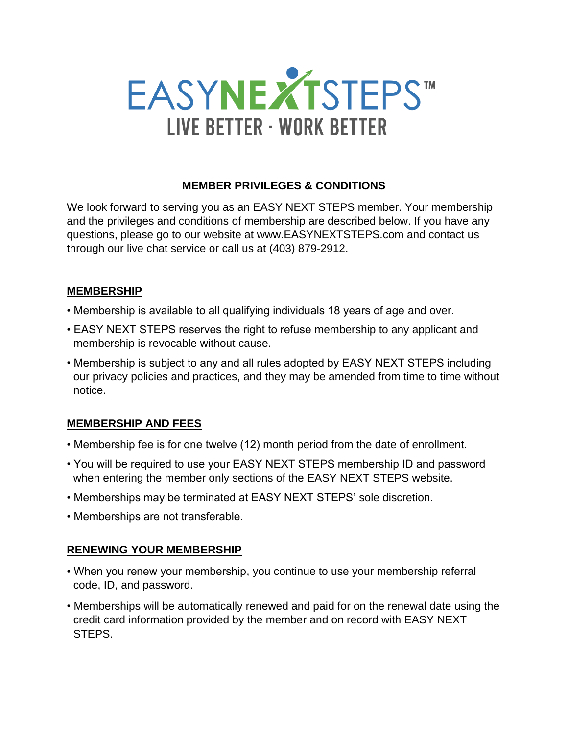

### **MEMBER PRIVILEGES & CONDITIONS**

We look forward to serving you as an EASY NEXT STEPS member. Your membership and the privileges and conditions of membership are described below. If you have any questions, please go to our website at www.EASYNEXTSTEPS.com and contact us through our live chat service or call us at (403) 879-2912.

#### **MEMBERSHIP**

- Membership is available to all qualifying individuals 18 years of age and over.
- EASY NEXT STEPS reserves the right to refuse membership to any applicant and membership is revocable without cause.
- Membership is subject to any and all rules adopted by EASY NEXT STEPS including our privacy policies and practices, and they may be amended from time to time without notice.

### **MEMBERSHIP AND FEES**

- Membership fee is for one twelve (12) month period from the date of enrollment.
- You will be required to use your EASY NEXT STEPS membership ID and password when entering the member only sections of the EASY NEXT STEPS website.
- Memberships may be terminated at EASY NEXT STEPS' sole discretion.
- Memberships are not transferable.

#### **RENEWING YOUR MEMBERSHIP**

- When you renew your membership, you continue to use your membership referral code, ID, and password.
- Memberships will be automatically renewed and paid for on the renewal date using the credit card information provided by the member and on record with EASY NEXT STEPS.